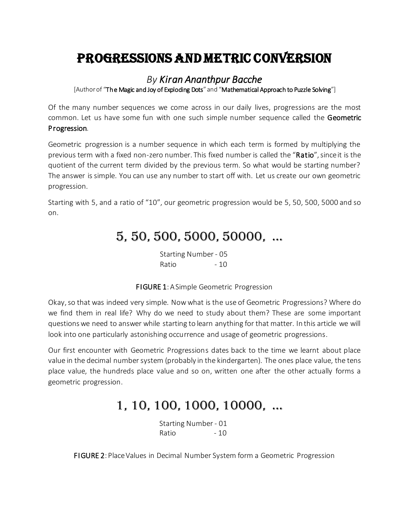## Progressions and Metric Conversion

#### *By Kiran Ananthpur Bacche*

[Author of "The Magic and Joy of Exploding Dots" and "Mathematical Approach to Puzzle Solving"]

Of the many number sequences we come across in our daily lives, progressions are the most common. Let us have some fun with one such simple number sequence called the Geometric Progression.

Geometric progression is a number sequence in which each term is formed by multiplying the previous term with a fixed non-zero number. This fixed number is called the "Ratio", since it is the quotient of the current term divided by the previous term. So what would be starting number? The answer is simple. You can use any number to start off with. Let us create our own geometric progression.

Starting with 5, and a ratio of "10", our geometric progression would be 5, 50, 500, 5000 and so on.

#### 5, 50, 500, 5000, 50000, …

Starting Number - 05 Ratio - 10

FIGURE 1: A Simple Geometric Progression

Okay, so that was indeed very simple. Now what is the use of Geometric Progressions? Where do we find them in real life? Why do we need to study about them? These are some important questions we need to answer while starting to learn anything for that matter. In this article we will look into one particularly astonishing occurrence and usage of geometric progressions.

Our first encounter with Geometric Progressions dates back to the time we learnt about place value in the decimal number system (probably in the kindergarten). The ones place value, the tens place value, the hundreds place value and so on, written one after the other actually forms a geometric progression.

### 1, 10, 100, 1000, 10000, …

Starting Number - 01 Ratio - 10

FIGURE 2: Place Values in Decimal Number System form a Geometric Progression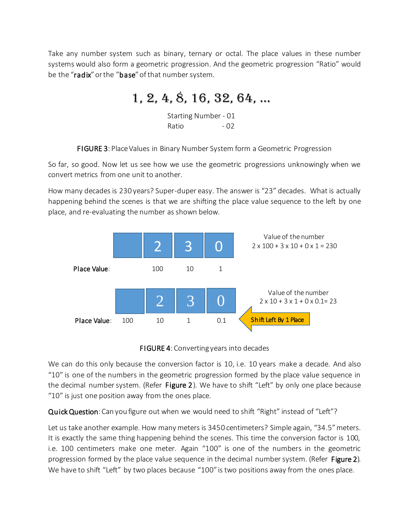Take any number system such as binary, ternary or octal. The place values in these number systems would also form a geometric progression. And the geometric progression "Ratio" would be the "radix" or the "base" of that number system.

### 1, 2, 4, 8, 16, 32, 64, …

Starting Number - 01 Ratio - 02

FIGURE 3: Place Values in Binary Number System form a Geometric Progression

So far, so good. Now let us see how we use the geometric progressions unknowingly when we convert metrics from one unit to another.

How many decades is 230 years? Super-duper easy. The answer is "23" decades. What is actually happening behind the scenes is that we are shifting the place value sequence to the left by one place, and re-evaluating the number as shown below.





We can do this only because the conversion factor is 10, i.e. 10 years make a decade. And also "10" is one of the numbers in the geometric progression formed by the place value sequence in the decimal number system. (Refer Figure 2). We have to shift "Left" by only one place because "10" is just one position away from the ones place.

Quick Question: Can you figure out when we would need to shift "Right" instead of "Left"?

Let us take another example. How many meters is 3450 centimeters? Simple again, "34.5" meters. It is exactly the same thing happening behind the scenes. This time the conversion factor is 100, i.e. 100 centimeters make one meter. Again "100" is one of the numbers in the geometric progression formed by the place value sequence in the decimal number system. (Refer Figure 2). We have to shift "Left" by two places because "100" is two positions away from the ones place.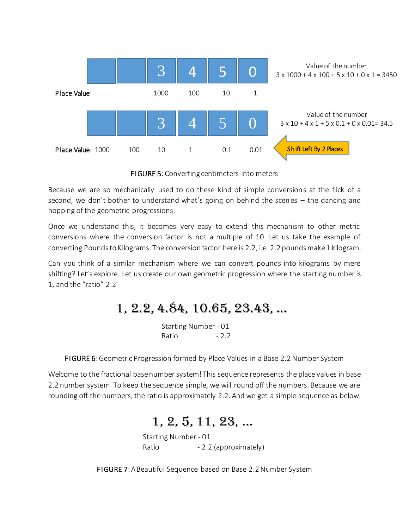

FIGURE 5: Converting centimeters into meters

Because we are so mechanically used to do these kind of simple conversions at the flick of a second, we don't bother to understand what's going on behind the scenes – the dancing and hopping of the geometric progressions.

Once we understand this, it becomes very easy to extend this mechanism to other metric conversions where the conversion factor is not a multiple of 10. Let us take the example of converting Pounds to Kilograms. The conversion factor here is 2.2, i.e. 2.2 pounds make 1 kilogram.

Can you think of a similar mechanism where we can convert pounds into kilograms by mere shifting? Let's explore. Let us create our own geometric progression where the starting number is 1, and the "ratio" 2.2

# 1, 2.2, 4.84, 10.65, 23.43, …

Starting Number - 01 Ratio - 2.2

FIGURE 6: Geometric Progression formed by Place Values in a Base 2.2 Number System

Welcome to the fractional base number system! This sequence represents the place values in base 2.2 number system. To keep the sequence simple, we will round off the numbers. Because we are rounding off the numbers, the ratio is approximately 2.2. And we get a simple sequence as below.

## 1, 2, 5, 11, 23, …

Starting Number - 01 Ratio **- 2.2 (approximately)** 

FIGURE 7: A Beautiful Sequence based on Base 2.2 Number System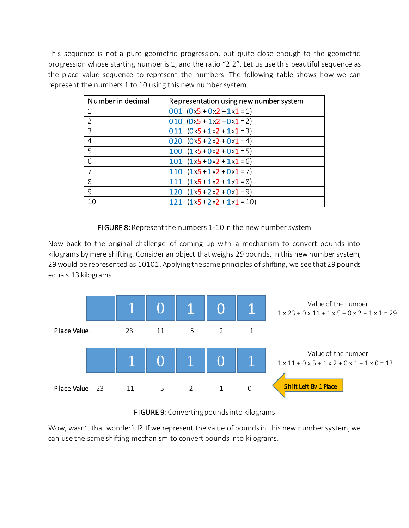This sequence is not a pure geometric progression, but quite close enough to the geometric progression whose starting number is 1, and the ratio "2.2". Let us use this beautiful sequence as the place value sequence to represent the numbers. The following table shows how we can represent the numbers 1 to 10 using this new number system.

| Number in decimal | Representation using new number system |
|-------------------|----------------------------------------|
|                   | 001 $(0x5 + 0x2 + 1x1 = 1)$            |
| $\mathcal{P}$     | 010 $(0x5 + 1x2 + 0x1 = 2)$            |
| 3                 | 011 $(0x5+1x2+1x1=3)$                  |
| 4                 | 020 $(0x5 + 2x2 + 0x1 = 4)$            |
| 5                 | 100 $(1x5+0x2+0x1=5)$                  |
| 6                 | 101 $(1x5+0x2+1x1=6)$                  |
|                   | 110 $(1x5+1x2+0x1=7)$                  |
| 8                 | 111 $(1x5+1x2+1x1=8)$                  |
| 9                 | 120 $(1x5+2x2+0x1=9)$                  |
| 10                | 121 $(1x5+2x2+1x1=10)$                 |

#### FIGURE 8: Represent the numbers 1-10 in the new number system

Now back to the original challenge of coming up with a mechanism to convert pounds into kilograms by mere shifting. Consider an object that weighs 29 pounds. In this new number system, 29 would be represented as 10101. Applying the same principles of shifting, we see that 29 pounds equals 13 kilograms.





Wow, wasn't that wonderful? If we represent the value of pounds in this new number system, we can use the same shifting mechanism to convert pounds into kilograms.